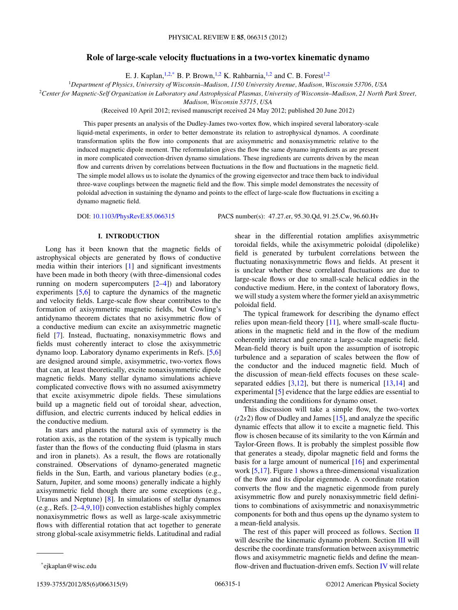# **Role of large-scale velocity fluctuations in a two-vortex kinematic dynamo**

E. J. Kaplan,  $1,2, *$  B. P. Brown,  $1,2$  K. Rahbarnia,  $1,2$  and C. B. Forest  $1,2$ 

<sup>1</sup>*Department of Physics, University of Wisconsin–Madison, 1150 University Avenue, Madison, Wisconsin 53706, USA*

<sup>2</sup>*Center for Magnetic-Self Organization in Laboratory and Astrophysical Plasmas, University of Wisconsin–Madison, 21 North Park Street,*

*Madison, Wisconsin 53715, USA*

(Received 10 April 2012; revised manuscript received 24 May 2012; published 20 June 2012)

This paper presents an analysis of the Dudley-James two-vortex flow, which inspired several laboratory-scale liquid-metal experiments, in order to better demonstrate its relation to astrophysical dynamos. A coordinate transformation splits the flow into components that are axisymmetric and nonaxisymmetric relative to the induced magnetic dipole moment. The reformulation gives the flow the same dynamo ingredients as are present in more complicated convection-driven dynamo simulations. These ingredients are currents driven by the mean flow and currents driven by correlations between fluctuations in the flow and fluctuations in the magnetic field. The simple model allows us to isolate the dynamics of the growing eigenvector and trace them back to individual three-wave couplings between the magnetic field and the flow. This simple model demonstrates the necessity of poloidal advection in sustaining the dynamo and points to the effect of large-scale flow fluctuations in exciting a dynamo magnetic field.

DOI: [10.1103/PhysRevE.85.066315](http://dx.doi.org/10.1103/PhysRevE.85.066315) PACS number(s): 47*.*27*.*er, 95*.*30*.*Qd, 91*.*25*.*Cw, 96*.*60*.*Hv

#### **I. INTRODUCTION**

Long has it been known that the magnetic fields of astrophysical objects are generated by flows of conductive media within their interiors [\[1\]](#page-8-0) and significant investments have been made in both theory (with three-dimensional codes running on modern supercomputers  $[2-4]$  and laboratory experiments  $[5,6]$  to capture the dynamics of the magnetic and velocity fields. Large-scale flow shear contributes to the formation of axisymmetric magnetic fields, but Cowling's antidynamo theorem dictates that no axisymmetric flow of a conductive medium can excite an axisymmetric magnetic field [\[7\]](#page-8-0). Instead, fluctuating, nonaxisymmetric flows and fields must coherently interact to close the axisymmetric dynamo loop. Laboratory dynamo experiments in Refs. [\[5,6\]](#page-8-0) are designed around simple, axisymmetric, two-vortex flows that can, at least theoretically, excite nonaxisymmetric dipole magnetic fields. Many stellar dynamo simulations achieve complicated convective flows with no assumed axisymmetry that excite axisymmetric dipole fields. These simulations build up a magnetic field out of toroidal shear, advection, diffusion, and electric currents induced by helical eddies in the conductive medium.

In stars and planets the natural axis of symmetry is the rotation axis, as the rotation of the system is typically much faster than the flows of the conducting fluid (plasma in stars and iron in planets). As a result, the flows are rotationally constrained. Observations of dynamo-generated magnetic fields in the Sun, Earth, and various planetary bodies (e.g., Saturn, Jupiter, and some moons) generally indicate a highly axisymmetric field though there are some exceptions (e.g., Uranus and Neptune) [\[8\]](#page-8-0). In simulations of stellar dynamos (e.g., Refs.  $[2-4,9,10]$ ) convection establishes highly complex nonaxisymmetric flows as well as large-scale axisymmetric flows with differential rotation that act together to generate strong global-scale axisymmetric fields. Latitudinal and radial

shear in the differential rotation amplifies axisymmetric toroidal fields, while the axisymmetric poloidal (dipolelike) field is generated by turbulent correlations between the fluctuating nonaxisymmetric flows and fields. At present it is unclear whether these correlated fluctuations are due to large-scale flows or due to small-scale helical eddies in the conductive medium. Here, in the context of laboratory flows, we will study a system where the former yield an axisymmetric poloidal field.

The typical framework for describing the dynamo effect relies upon mean-field theory [\[11\]](#page-8-0), where small-scale fluctuations in the magnetic field and in the flow of the medium coherently interact and generate a large-scale magnetic field. Mean-field theory is built upon the assumption of isotropic turbulence and a separation of scales between the flow of the conductor and the induced magnetic field. Much of the discussion of mean-field effects focuses on these scaleseparated eddies  $[3,12]$ , but there is numerical  $[13,14]$  and experimental [\[5\]](#page-8-0) evidence that the large eddies are essential to understanding the conditions for dynamo onset.

This discussion will take a simple flow, the two-vortex (*t*2*s*2) flow of Dudley and James [\[15\]](#page-8-0), and analyze the specific dynamic effects that allow it to excite a magnetic field. This flow is chosen because of its similarity to the von Kármán and Taylor-Green flows. It is probably the simplest possible flow that generates a steady, dipolar magnetic field and forms the basis for a large amount of numerical [\[16\]](#page-8-0) and experimental work [\[5,17\]](#page-8-0). Figure [1](#page-1-0) shows a three-dimensional visualization of the flow and its dipolar eigenmode. A coordinate rotation converts the flow and the magnetic eigenmode from purely axisymmetric flow and purely nonaxisymmetric field definitions to combinations of axisymmetric and nonaxisymmetric components for both and thus opens up the dynamo system to a mean-field analysis.

The rest of this paper will proceed as follows. Section [II](#page-1-0) will describe the kinematic dynamo problem. Section [III](#page-2-0) will describe the coordinate transformation between axisymmetric flows and axisymmetric magnetic fields and define the meanflow-driven and fluctuation-driven emfs. Section [IV](#page-3-0) will relate

1539-3755/2012/85(6)/066315(9) ©2012 American Physical Society 066315-1

<sup>\*</sup>ejkaplan@wisc.edu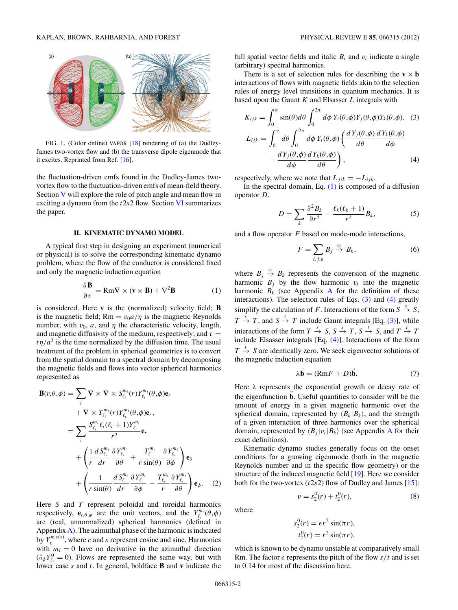<span id="page-1-0"></span>

FIG. 1. (Color online) VAPOR [\[18\]](#page-8-0) rendering of (a) the Dudley-James two-vortex flow and (b) the transverse dipole eigenmode that it excites. Reprinted from Ref. [\[16\]](#page-8-0).

the fluctuation-driven emfs found in the Dudley-James twovortex flow to the fluctuation-driven emfs of mean-field theory. Section [V](#page-5-0) will explore the role of pitch angle and mean flow in exciting a dynamo from the *t*2*s*2 flow. Section [VI](#page-6-0) summarizes the paper.

## **II. KINEMATIC DYNAMO MODEL**

A typical first step in designing an experiment (numerical or physical) is to solve the corresponding kinematic dynamo problem, where the flow of the conductor is considered fixed and only the magnetic induction equation

$$
\frac{\partial \mathbf{B}}{\partial \tau} = \text{Rm} \nabla \times (\mathbf{v} \times \mathbf{B}) + \nabla^2 \mathbf{B}
$$
 (1)

is considered. Here **v** is the (normalized) velocity field; **B** is the magnetic field;  $Rm = v_0 a/\eta$  is the magnetic Reynolds number, with  $v_0$ , *a*, and *η* the characteristic velocity, length, and magnetic diffusivity of the medium, respectively; and  $\tau =$  $t\eta/a^2$  is the time normalized by the diffusion time. The usual treatment of the problem in spherical geometries is to convert from the spatial domain to a spectral domain by decomposing<br>the magnetic fields and flows into vector spherical harmonics<br>represented as<br> $\mathbf{B}(r,\theta,\phi) = \sum \nabla \times \nabla \times S_{\ell_i}^{m_i}(r) Y_{\ell_i}^{m_i}(\theta,\phi) \mathbf{e}_r$ the magnetic fields and flows into vector spherical harmonics represented as

$$
\mathbf{B}(r,\theta,\phi) = \sum_{i} \nabla \times \nabla \times S_{\ell_{i}}^{m_{i}}(r) Y_{\ell_{i}}^{m_{i}}(\theta,\phi) \mathbf{e}_{r} \n+ \nabla \times T_{\ell_{i}}^{m_{i}}(r) Y_{\ell_{i}}^{m_{i}}(\theta,\phi) \mathbf{e}_{r}, \n= \sum_{i} \frac{S_{\ell_{i}}^{m_{i}} \ell_{i}(\ell_{i} + 1) Y_{\ell_{i}}^{m_{i}}}{r^{2}} \mathbf{e}_{r} \n+ \left(\frac{1}{r} \frac{d S_{\ell_{i}}^{m_{i}}}{dr} \frac{\partial Y_{\ell_{i}}^{m_{i}}}{\partial \theta} + \frac{T_{\ell_{i}}^{m_{i}}}{r \sin(\theta)} \frac{\partial Y_{\ell_{i}}^{m_{i}}}{\partial \phi}\right) \mathbf{e}_{\theta} \n+ \left(\frac{1}{r \sin(\theta)} \frac{d S_{\ell_{i}}^{m_{i}}}{dr} \frac{\partial Y_{\ell_{i}}^{m_{i}}}{\partial \phi} - \frac{T_{\ell_{i}}^{m_{i}}}{r} \frac{\partial Y_{\ell_{i}}^{m_{i}}}{\partial \theta}\right) \mathbf{e}_{\phi}.
$$
 (2)

Here *S* and *T* represent poloidal and toroidal harmonics respectively,  $\mathbf{e}_{r,\theta,\phi}$  are the unit vectors, and the  $Y_{\ell_i}^{m_i}(\theta,\phi)$ are (real, unnormalized) spherical harmonics (defined in Appendix  $\bf{A}$ ). The azimuthal phase of the harmonic is indicated by  $Y_{\ell}^{m c(s)}$ , where *c* and *s* represent cosine and sine. Harmonics with  $m<sub>i</sub> = 0$  have no derivative in the azimuthal direction  $(\partial_{\phi} Y_{\ell_i}^0 = 0)$ . Flows are represented the same way, but with lower case *s* and *t*. In general, boldface **B** and **v** indicate the

full spatial vector fields and italic  $B_i$  and  $v_i$  indicate a single (arbitrary) spectral harmonics.

There is a set of selection rules for describing the  $v \times b$ interactions of flows with magnetic fields akin to the selection rules of energy level transitions in quantum mechanics. It is based upon the Gaunt *K* and Elsasser *L* integrals with flows with ma<br><sup>r</sup> level transitic Gaunt K and<br> $\sin(\theta)d\theta$   $\int^{2\pi}$ 

ed upon the Gaut *K* and Elsasser *L* integrals with  
\n
$$
K_{ijk} = \int_0^{\pi} \sin(\theta) d\theta \int_0^{2\pi} d\phi Y_i(\theta, \phi) Y_j(\theta, \phi) Y_k(\theta, \phi),
$$
\n(3)  
\n
$$
L_{ijk} = \int_0^{\pi} d\theta \int_0^{2\pi} d\phi Y_i(\theta, \phi) \left( \frac{dY_j(\theta, \phi)}{d\theta} \frac{dY_k(\theta, \phi)}{d\phi} - \frac{dY_j(\theta, \phi)}{d\phi} \frac{dY_k(\theta, \phi)}{d\theta} \right),
$$

respectively, where we note that  $L_{jik} = -L_{ijk}$ .

In the spectral domain, Eq.  $(1)$  is composed of a diffusion operator *D*, where we tral doma<br> $D = \sum$ 

$$
D = \sum_{k} \frac{\partial^{2} B_{k}}{\partial r^{2}} - \frac{\ell_{k}(\ell_{k} + 1)}{r^{2}} B_{k},
$$
 (5)  
rator *F* based on mode-mode interactions,  

$$
F = \sum B_{j} \stackrel{v_{i}}{\rightarrow} B_{k},
$$
 (6)

and a flow operator *F* based on mode-mode interactions,

$$
F = \sum_{i,j,k} B_j \stackrel{v_i}{\to} B_k,\tag{6}
$$

where  $B_j \stackrel{v_i}{\rightarrow} B_k$  represents the conversion of the magnetic harmonic  $B_i$  by the flow harmonic  $v_i$  into the magnetic harmonic  $B_k$  (see [A](#page-6-0)ppendix A for the definition of these interactions). The selection rules of Eqs. (3) and (4) greatly simplify the calculation of *F*. Interactions of the form  $S \stackrel{s}{\rightarrow} S$ ,  $T \stackrel{s}{\rightarrow} T$ , and  $S \stackrel{t}{\rightarrow} T$  include Gaunt integrals [Eq. (3)], while interactions of the form  $T \xrightarrow{s} S$ ,  $S \xrightarrow{s} T$ ,  $S \xrightarrow{t} S$ , and  $T \xrightarrow{t} T$ include Elsasser integrals [Eq.  $(4)$ ]. Interactions of the form  $T \nightharpoonup S$  are identically zero. We seek eigenvector solutions of the magnetic induction equation

$$
\lambda \dot{\mathbf{b}} = (\mathbf{R} \mathbf{m} F + D) \dot{\mathbf{b}}.\tag{7}
$$

Here *λ* represents the exponential growth or decay rate of the eigenfunction **b**. Useful quantities to consider will be the amount of energy in a given magnetic harmonic over the spherical domain, represented by  $\langle B_k|B_k\rangle$ , and the strength of a given interaction of three harmonics over the spherical domain, represented by  $\langle B_i | v_i | B_k \rangle$  (see [A](#page-6-0)ppendix A for their exact definitions).

Kinematic dynamo studies generally focus on the onset conditions for a growing eigenmode (both in the magnetic Reynolds number and in the specific flow geometry) or the structure of the induced magnetic field [\[19\]](#page-8-0). Here we consider both for the two-vortex (*t*2*s*2) flow of Dudley and James [\[15\]](#page-8-0):

$$
v = s_2^0(r) + t_2^0(r),
$$
 (8)

where

$$
s_2^0(r) = \epsilon r^2 \sin(\pi r),
$$
  

$$
t_2^0(r) = r^2 \sin(\pi r),
$$

which is known to be dynamo unstable at comparatively small Rm. The factor  $\epsilon$  represents the pitch of the flow  $s/t$  and is set to 0*.*14 for most of the discussion here.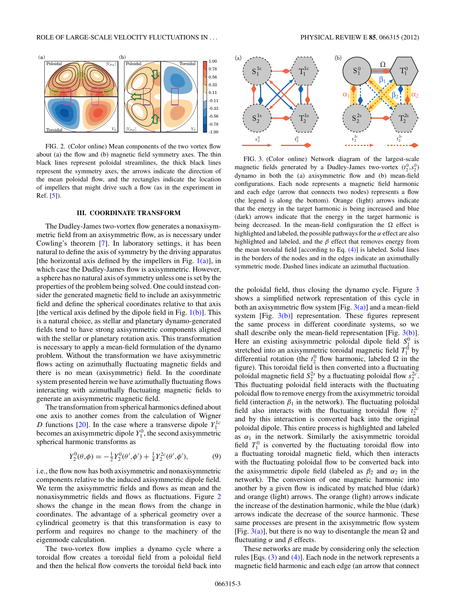<span id="page-2-0"></span>

FIG. 2. (Color online) Mean components of the two vortex flow about (a) the flow and (b) magnetic field symmetry axes. The thin black lines represent poloidal streamlines, the thick black lines represent the symmetry axes, the arrows indicate the direction of the mean poloidal flow, and the rectangles indicate the location of impellers that might drive such a flow (as in the experiment in  $Ref. [5]$  $Ref. [5]$ ).

## **III. COORDINATE TRANSFORM**

The Dudley-James two-vortex flow generates a nonaxisymmetric field from an axisymmetric flow, as is necessary under Cowling's theorem [\[7\]](#page-8-0). In laboratory settings, it has been natural to define the axis of symmetry by the driving apparatus [the horizontal axis defined by the impellers in Fig.  $1(a)$ ], in which case the Dudley-James flow is axisymmetric. However, a sphere has no natural axis of symmetry unless one is set by the properties of the problem being solved. One could instead consider the generated magnetic field to include an axisymmetric field and define the spherical coordinates relative to that axis [the vertical axis defined by the dipole field in Fig.  $1(b)$ ]. This is a natural choice, as stellar and planetary dynamo-generated fields tend to have strong axisymmetric components aligned with the stellar or planetary rotation axis. This transformation is necessary to apply a mean-field formulation of the dynamo problem. Without the transformation we have axisymmetric flows acting on azimuthally fluctuating magnetic fields and there is no mean (axisymmetric) field. In the coordinate system presented herein we have azimuthally fluctuating flows interacting with azimuthally fluctuating magnetic fields to generate an axisymmetric magnetic field.

The transformation from spherical harmonics defined about one axis to another comes from the calculation of Wigner *D* functions [\[20\]](#page-8-0). In the case where a transverse dipole  $Y_1^{1c}$ becomes an axisymmetric dipole  $Y_1^0$ , the second axisymmetric spherical harmonic transforms as

$$
Y_2^0(\theta, \phi) = -\frac{1}{2} Y_2^0(\theta', \phi') + \frac{1}{4} Y_2^{2c}(\theta', \phi'), \tag{9}
$$

i.e., the flow now has both axisymmetric and nonaxisymmetric components relative to the induced axisymmetric dipole field. We term the axisymmetric fields and flows as mean and the nonaxisymmetric fields and flows as fluctuations. Figure 2 shows the change in the mean flows from the change in coordinates. The advantage of a spherical geometry over a cylindrical geometry is that this transformation is easy to perform and requires no change to the machinery of the eigenmode calculation.

The two-vortex flow implies a dynamo cycle where a toroidal flow creates a toroidal field from a poloidal field and then the helical flow converts the toroidal field back into



FIG. 3. (Color online) Network diagram of the largest-scale magnetic fields generated by a Dudley-James two-vortex  $(t_2^0, s_2^0)$ dynamo in both the (a) axisymmetric flow and (b) mean-field configurations. Each node represents a magnetic field harmonic and each edge (arrow that connects two nodes) represents a flow (the legend is along the bottom). Orange (light) arrows indicate that the energy in the target harmonic is being increased and blue (dark) arrows indicate that the energy in the target harmonic is being decreased. In the mean-field configuration the  $\Omega$  effect is highlighted and labeled, the possible pathways for the *α* effect are also highlighted and labeled, and the *β* effect that removes energy from the mean toroidal field [according to Eq.  $(4)$ ] is labeled. Solid lines in the borders of the nodes and in the edges indicate an aximuthally symmetric mode. Dashed lines indicate an azimuthal fluctuation.

the poloidal field, thus closing the dynamo cycle. Figure 3 shows a simplified network representation of this cycle in both an axisymmetric flow system [Fig.  $3(a)$ ] and a mean-field system [Fig.  $3(b)$ ] representation. These figures represent the same process in different coordinate systems, so we shall describe only the mean-field representation [Fig.  $3(b)$ ]. Here an existing axisymmetric poloidal dipole field  $S^0_1$  is stretched into an axisymmetric toroidal magnetic field  $T_1^0$  by differential rotation (the  $t_2^0$  flow harmonic, labeled  $\Omega$  in the figure). This toroidal field is then converted into a fluctuating poloidal magnetic field  $S_2^{2s}$  by a fluctuating poloidal flow  $s_2^{2c}$ . This fluctuating poloidal field interacts with the fluctuating poloidal flow to remove energy from the axisymmetric toroidal field (interaction  $\beta_1$  in the network). The fluctuating poloidal field also interacts with the fluctuating toroidal flow  $t_2^{2c}$ and by this interaction is converted back into the original poloidal dipole. This entire process is highlighted and labeled as  $\alpha_1$  in the network. Similarly the axisymmetric toroidal field  $T_1^0$  is converted by the fluctuating toroidal flow into a fluctuating toroidal magnetic field, which then interacts with the fluctuating poloidal flow to be converted back into the axisymmetric dipole field (labeled as  $\beta_2$  and  $\alpha_2$  in the network). The conversion of one magnetic harmonic into another by a given flow is indicated by matched blue (dark) and orange (light) arrows. The orange (light) arrows indicate the increase of the destination harmonic, while the blue (dark) arrows indicate the decrease of the source harmonic. These same processes are present in the axisymmetric flow system [Fig. 3(a)], but there is no way to disentangle the mean  $\Omega$  and fluctuating *α* and *β* effects.

These networks are made by considering only the selection rules [Eqs.  $(3)$  and  $(4)$ ]. Each node in the network represents a magnetic field harmonic and each edge (an arrow that connect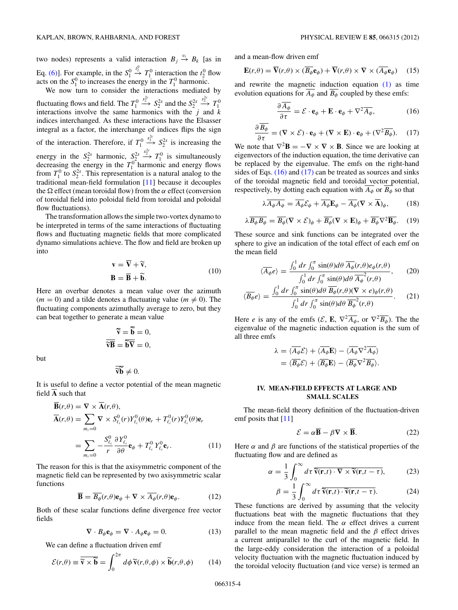<span id="page-3-0"></span>two nodes) represents a valid interaction  $B_j \stackrel{v_i}{\rightarrow} B_k$  [as in Eq. [\(6\)\]](#page-1-0). For example, in the  $S_1^0$  $t_2^0$   $T_1^0$  interaction the  $t_2^0$  flow acts on the  $S_1^0$  to increases the energy in the  $T_1^0$  harmonic.

We now turn to consider the interactions mediated by fluctuating flows and field. The  $T_1^0$  $\longrightarrow$   $S_2^{2s}$  and the  $S_2^{2s}$ fluctuating flows and field. The  $T_1^0 \xrightarrow{s_2^{2c}} S_2^{2s}$  and the  $S_2^{2s} \xrightarrow{s_2^{2c}} T_1^0$  interactions involve the same harmonics with the *j* and *k* indices interchanged. As these interactions have the Elsasser integral as a factor, the interchange of indices flips the sign of the interaction. Therefore, if  $T_1^0$  $\frac{s_2^{2c}}{2}$  *S*<sup>2*s*</sup> is increasing the energy in the  $S_2^{2s}$  harmonic,  $S_2^{2s}$  $\stackrel{s_2^{2c}}{\longrightarrow} T_1^0$  is simultaneously decreasing the energy in the  $T_1^0$  harmonic and energy flows from  $T_1^0$  to  $S_2^{2s}$ . This representation is a natural analog to the traditional mean-field formulation [\[11\]](#page-8-0) because it decouples the  $\Omega$  effect (mean toroidal flow) from the  $\alpha$  effect (conversion of toroidal field into poloidal field from toroidal and poloidal flow fluctuations).

The transformation allows the simple two-vortex dynamo to be interpreted in terms of the same interactions of fluctuating flows and fluctuating magnetic fields that more complicated nows and incluating magnetic fields that more complicated<br>dynamo simulations achieve. The flow and field are broken up<br>into<br> $\mathbf{v} = \overline{\mathbf{V}} + \widetilde{\mathbf{v}},$ <br> $\qquad - \sim$  (10) into

$$
\mathbf{v} = \overline{\mathbf{V}} + \widetilde{\mathbf{v}},
$$
  

$$
\mathbf{B} = \overline{\mathbf{B}} + \widetilde{\mathbf{b}}.
$$
 (10)

Here an overbar denotes a mean value over the azimuth  $(m = 0)$  and a tilde denotes a fluctuating value  $(m \neq 0)$ . The  $(m = 0)$  and a thue denotes a interdating value  $(m \neq 0)$ . The fluctuating components azimuthally average to zero, but they can beat together to generate a mean value  $\overline{\tilde{\mathbf{v}}} = \overline{\tilde{\mathbf{b}}} = 0$ ,

can beat together to generate a mean value  
\n
$$
\overline{\widetilde{\mathbf{v}}} = \overline{\widetilde{\mathbf{b}}} = 0,
$$
\n
$$
\overline{\widetilde{\mathbf{v}}}\overline{\mathbf{B}} = \overline{\widetilde{\mathbf{b}}\mathbf{v}} = 0,
$$
\nbut\n
$$
\overline{\widetilde{\mathbf{v}}}\overline{\widetilde{\mathbf{b}}} \neq 0.
$$

but

$$
\overline{\widetilde{\mathbf{v}}}\widetilde{\mathbf{b}}\neq 0.
$$

field **A** such that

It is useful to define a vector potential of the mean magnetic field 
$$
\overline{\mathbf{A}}
$$
 such that  
\n
$$
\overline{\mathbf{B}}(r,\theta) = \nabla \times \overline{\mathbf{A}}(r,\theta),
$$
\n
$$
\overline{\mathbf{A}}(r,\theta) = \sum_{m_i=0} \nabla \times S^0_{\ell_i}(r) Y^0_{\ell_i}(\theta) \mathbf{e}_r + T^0_{\ell_i}(r) Y^0_{\ell_i}(\theta) \mathbf{e}_r
$$
\n
$$
= \sum_{m_i=0} -\frac{S^0_{\ell_i}}{r} \frac{\partial Y^0_{\ell_i}}{\partial \theta} \mathbf{e}_{\phi} + T^0_{\ell_i} Y^0_{\ell_i} \mathbf{e}_r.
$$
\n(11)

The reason for this is that the axisymmetric component of the magnetic field can be represented by two axisymmetric scalar functions

$$
\overline{\mathbf{B}} = \overline{B_{\phi}}(r,\theta)\mathbf{e}_{\phi} + \nabla \times \overline{A_{\phi}}(r,\theta)\mathbf{e}_{\phi}.
$$
 (12)

Both of these scalar functions define divergence free vector fields

$$
\nabla \cdot B_{\phi} \mathbf{e}_{\phi} = \nabla \cdot A_{\phi} \mathbf{e}_{\phi} = 0. \tag{13}
$$

We can define a fluctuation driven emf

$$
\nabla \cdot B_{\phi} \mathbf{e}_{\phi} = \nabla \cdot A_{\phi} \mathbf{e}_{\phi} = 0.
$$
 (13)  
le can define a fluctuation driven emf  

$$
\mathcal{E}(r,\theta) \equiv \overline{\mathbf{v}} \times \overline{\mathbf{b}} = \int_0^{2\pi} d\phi \, \widetilde{\mathbf{v}}(r,\theta,\phi) \times \widetilde{\mathbf{b}}(r,\theta,\phi)
$$
 (14)

and a mean-flow driven emf

$$
\mathbf{E}(r,\theta) = \overline{\mathbf{V}}(r,\theta) \times (\overline{B_{\phi}}\mathbf{e}_{\phi}) + \overline{\mathbf{V}}(r,\theta) \times \nabla \times (\overline{A_{\phi}}\mathbf{e}_{\phi}) \tag{15}
$$

and rewrite the magnetic induction equation [\(1\)](#page-1-0) as time evolution equations for  $\overline{A_{\phi}}$  and  $\overline{B_{\phi}}$  coupled by these emfs:

$$
\frac{\partial \overline{A_{\phi}}}{\partial \tau} = \mathcal{E} \cdot \mathbf{e}_{\phi} + \mathbf{E} \cdot \mathbf{e}_{\phi} + \nabla^2 \overline{A_{\phi}},
$$
(16)

$$
\frac{\partial B_{\phi}}{\partial \tau} = (\nabla \times \mathcal{E}) \cdot \mathbf{e}_{\phi} + (\nabla \times \mathbf{E}) \cdot \mathbf{e}_{\phi} + (\nabla^2 \overline{B_{\phi}}). \quad (17)
$$

We note that  $\nabla^2 \mathbf{B} = -\nabla \times \nabla \times \mathbf{B}$ . Since we are looking at eigenvectors of the induction equation, the time derivative can be replaced by the eigenvalue. The emfs on the right-hand sides of Eqs.  $(16)$  and  $(17)$  can be treated as sources and sinks of the toroidal magnetic field and toroidal vector potential, respectively, by dotting each equation with  $\overline{A_{\phi}}$  or  $\overline{B_{\phi}}$  so that

$$
\lambda \overline{A_{\phi} A_{\phi}} = \overline{A_{\phi}} \mathcal{E}_{\phi} + \overline{A_{\phi}} \mathbf{E}_{\phi} - \overline{A_{\phi}} (\nabla \times \overline{\mathbf{A}})_{\phi}, \quad (18)
$$

$$
\lambda \overline{B_{\phi} B_{\phi}} = \overline{B_{\phi}} (\nabla \times \mathcal{E})_{\phi} + \overline{B_{\phi}} (\nabla \times \mathbf{E})_{\phi} + \overline{B_{\phi}} \nabla^2 \overline{\mathbf{B}_{\phi}}.
$$
 (19)

These source and sink functions can be integrated over the sphere to give an indication of the total effect of each emf on the mean field sink furt<br>dication<br> $\int_0^1 dr \int_0^{\pi}$ 

The equation of the total effect of each emf on  
\n
$$
\langle \overline{A_{\phi}}e \rangle = \frac{\int_0^1 dr \int_0^{\pi} \sin(\theta) d\theta \overline{A_{\phi}}(r,\theta) e_{\phi}(r,\theta)}{\int_0^1 dr \int_0^{\pi} \sin(\theta) d\theta \overline{A_{\phi}}^2(r,\theta)},
$$
\n(20)  
\n
$$
= \int_0^1 dr \int_0^{\pi} \sin(\theta) d\theta \overline{B_{\phi}}(r,\theta) (\nabla \times e)_{\phi}(r,\theta)
$$

$$
\langle \overline{A_{\phi}}e \rangle = \frac{\int_{0}^{\alpha} dr \int_{0}^{\pi} \sin(\theta) d\theta \overline{A_{\phi}}^{2}(r, \theta)}{\int_{0}^{1} dr \int_{0}^{\pi} \sin(\theta) d\theta \overline{A_{\phi}}^{2}(r, \theta)}, \qquad (20)
$$

$$
\langle \overline{B_{\phi}}e \rangle = \frac{\int_{0}^{1} dr \int_{0}^{\pi} \sin(\theta) d\theta \overline{B_{\phi}}(r, \theta)(\nabla \times e)_{\phi}(r, \theta)}{\int_{0}^{1} dr \int_{0}^{\pi} \sin(\theta) d\theta \overline{B_{\phi}}^{2}(r, \theta)}.
$$

Here *e* is any of the emfs  $(\mathcal{E}, \mathbf{E}, \nabla^2 \overline{A_{\phi}}, \text{ or } \nabla^2 \overline{B_{\phi}})$ . The the eigenvalue of the magnetic induction equation is the sum of all three emfs

$$
\lambda = \langle \overline{A_{\phi}} \mathcal{E} \rangle + \langle \overline{A_{\phi}} \mathbf{E} \rangle - \langle \overline{A_{\phi}} \nabla^2 \overline{A_{\phi}} \rangle = \langle \overline{B_{\phi}} \mathcal{E} \rangle + \langle \overline{B_{\phi}} \mathbf{E} \rangle - \langle \overline{B_{\phi}} \nabla^2 \overline{B_{\phi}} \rangle.
$$

## **IV. MEAN-FIELD EFFECTS AT LARGE AND SMALL SCALES**

The mean-field theory definition of the fluctuation-driven emf posits that [\[11\]](#page-8-0)

$$
\mathcal{E} = \alpha \overline{\mathbf{B}} - \beta \nabla \times \overline{\mathbf{B}}.\tag{22}
$$

Here  $\alpha$  and  $\beta$  are functions of the statistical properties of the fluctuating flow and are defined as  $\alpha = \frac{1}{3} \int_{0}^{\infty} d\tau \, \overline{\tilde{\mathbf{v}}(\mathbf{r},t) \cdot \nabla \times \tilde{\mathbf{v}}(\mathbf{r},t - \tau)}$ , (23) fluctuating flow and are defined as

$$
\alpha = \frac{1}{3} \int_0^\infty d\tau \, \overline{\tilde{\mathbf{v}}(\mathbf{r}, t) \cdot \nabla \times \tilde{\mathbf{v}}(\mathbf{r}, t - \tau)},\tag{23}
$$
\n
$$
\beta = \frac{1}{3} \int_0^\infty d\tau \, \overline{\tilde{\mathbf{v}}(\mathbf{r}, t) \cdot \tilde{\mathbf{v}}(\mathbf{r}, t - \tau)}.\tag{24}
$$

$$
\beta = \frac{1}{3} \int_0^\infty d\tau \, \overline{\widetilde{\mathbf{v}}(\mathbf{r},t) \cdot \widetilde{\mathbf{v}}(\mathbf{r},t-\tau)}.
$$
 (24)

These functions are derived by assuming that the velocity fluctuations beat with the magnetic fluctuations that they induce from the mean field. The  $\alpha$  effect drives a current parallel to the mean magnetic field and the  $\beta$  effect drives a current antiparallel to the curl of the magnetic field. In the large-eddy consideration the interaction of a poloidal velocity fluctuation with the magnetic fluctuation induced by the toroidal velocity fluctuation (and vice verse) is termed an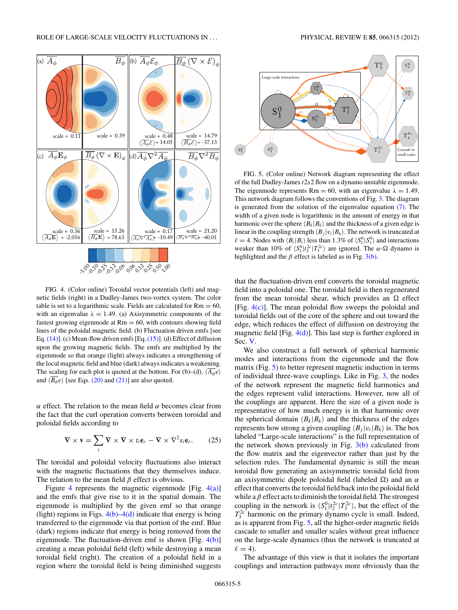<span id="page-4-0"></span>

FIG. 4. (Color online) Toroidal vector potentials (left) and magnetic fields (right) in a Dudley-James two-vortex system. The color table is set to a logarithmic scale. Fields are calculated for  $Rm = 60$ , with an eigenvalue  $\lambda = 1.49$ . (a) Axisymmetric components of the fastest growing eigenmode at  $Rm = 60$ , with contours showing field lines of the poloidal magnetic field. (b) Fluctuation driven emfs [see Eq.  $(14)$ ]. (c) Mean-flow driven emfs [Eq.  $(15)$ ]. (d) Effect of diffusion upon the growing magnetic fields. The emfs are multiplied by the eigenmode so that orange (light) always indicates a strengthening of the local magnetic field and blue (dark) always indicates a weakening. The scaling for each plot is quoted at the bottom. For (b)–(d),  $\langle \overline{A_{\phi}}e \rangle$ and  $\langle \overline{B_{\phi}}e \rangle$  [see Eqs. [\(20\)](#page-3-0) and [\(21\)\]](#page-3-0) are also quoted.

*α* effect. The relation to the mean field *α* becomes clear from the fact that the curl operation converts between toroidal and poloidal fields according to The relation that the curl of  $\vec{v}$  is according  $\nabla \times \vec{v} = \sum \vec{v}$ 

$$
\nabla \times \mathbf{v} = \sum_{i} \nabla \times \nabla \times t_{i} \mathbf{e}_{r} - \nabla \times \nabla^{2} s_{i} \mathbf{e}_{r}.
$$
 (25)

The toroidal and poloidal velocity fluctuations also interact with the magnetic fluctuations that they themselves induce. The relation to the mean field *β* effect is obvious.

Figure 4 represents the magnetic eigenmode [Fig. 4(a)] and the emfs that give rise to it in the spatial domain. The eigenmode is multiplied by the given emf so that orange (light) regions in Figs.  $4(b)$ – $4(d)$  indicate that energy is being transferred to the eigenmode via that portion of the emf. Blue (dark) regions indicate that energy is being removed from the eigenmode. The fluctuation-driven emf is shown [Fig. 4(b)] creating a mean poloidal field (left) while destroying a mean toroidal field (right). The creation of a poloidal field in a region where the toroidal field is being diminished suggests



FIG. 5. (Color online) Network diagram representing the effect of the full Dudley-James *t*2*s*2 flow on a dynamo unstable eigenmode. The eigenmode represents Rm = 60, with an eigenvalue  $\lambda = 1.49$ . This network diagram follows the conventions of Fig. [3.](#page-2-0) The diagram is generated from the solution of the eigenvalue equation [\(7\).](#page-1-0) The width of a given node is logarithmic in the amount of energy in that harmonic over the sphere  $\langle B_k | B_k \rangle$  and the thickness of a given edge is linear in the coupling strength  $\langle B_i | v_i | B_k \rangle$ . The network is truncated at  $\ell = 4$ . Nodes with  $\langle B_i | B_i \rangle$  less than 1.3% of  $\langle S_1^0 | S_1^0 \rangle$  and interactions weaker than 10% of  $\langle S_1^0 | t_2^{2c} | T_3^{2c} \rangle$  are ignored. The  $\alpha$ - $\Omega$  dynamo is highlighted and the  $\beta$  effect is labeled as in Fig. [3\(b\).](#page-2-0)

that the fluctuation-driven emf converts the toroidal magnetic field into a poloidal one. The toroidal field is then regenerated from the mean toroidal shear, which provides an  $\Omega$  effect [Fig.  $4(c)$ ]. The mean poloidal flow sweeps the poloidal and toroidal fields out of the core of the sphere and out toward the edge, which reduces the effect of diffusion on destroying the magnetic field  $[Fig. 4(d)]$ . This last step is further explored in Sec. [V.](#page-5-0)

We also construct a full network of spherical harmonic modes and interactions from the eigenmode and the flow matrix (Fig. 5) to better represent magnetic induction in terms of individual three-wave couplings. Like in Fig. [3,](#page-2-0) the nodes of the network represent the magnetic field harmonics and the edges represent valid interactions. However, now all of the couplings are apparent. Here the size of a given node is representative of how much energy is in that harmonic over the spherical domain  $\langle B_k | B_k \rangle$  and the thickness of the edges represents how strong a given coupling  $\langle B_j | v_i | B_k \rangle$  is. The box labeled "Large-scale interactions" is the full representation of the network shown previously in Fig.  $3(b)$  calculated from the flow matrix and the eigenvector rather than just by the selection rules. The fundamental dynamic is still the mean toroidal flow generating an axisymmetric toroidal field from an axisymmetric dipole poloidal field (labeled  $\Omega$ ) and an  $\alpha$ effect that converts the toroidal field back into the poloidal field while a *β* effect acts to diminish the toroidal field. The strongest coupling in the network is  $\langle S_1^0 | t_2^{2c} | T_3^{2c} \rangle$ , but the effect of the  $T_3^{2c}$  harmonic on the primary dynamo cycle is small. Indeed, as is apparent from Fig. 5, all the higher-order magnetic fields cascade to smaller and smaller scales without great influence on the large-scale dynamics (thus the network is truncated at  $\ell = 4$ ).

The advantage of this view is that it isolates the important couplings and interaction pathways more obviously than the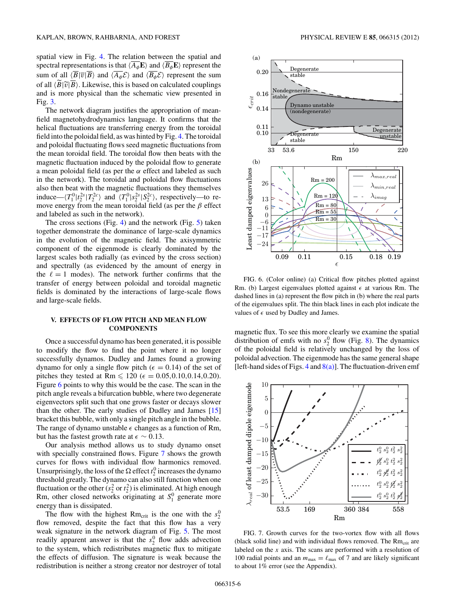<span id="page-5-0"></span>spatial view in Fig. [4.](#page-4-0) The relation between the spatial and spectral representations is that  $\langle \overline{A_{\phi}} \mathbf{E} \rangle$  and  $\langle \overline{B_{\phi}} \mathbf{E} \rangle$  represent the sum of all  $\langle B|\overline{v}|B\rangle$  and  $\langle A_{\phi}E\rangle$  and  $\langle B_{\phi}E\rangle$  represent the sum of all  $\langle B|\tilde{v}|\overline{B}\rangle$ . Likewise, this is based on calculated couplings iew in Fig. 4. The relation between the spatial and<br>representations is that  $\langle \overline{A_{\phi}} \mathbf{E} \rangle$  and  $\langle \overline{B_{\phi}} \mathbf{E} \rangle$  represent the<br>all  $\langle \overline{B} | \overline{v} | \overline{B} \rangle$  and  $\langle \overline{A_{\phi}} \mathcal{E} \rangle$  and  $\langle \overline{B_{\phi}} \mathcal{E} \rangle$  and is more physical than the schematic view presented in Fig. [3.](#page-2-0)

The network diagram justifies the appropriation of meanfield magnetohydrodynamics language. It confirms that the helical fluctuations are transferring energy from the toroidal field into the poloidal field, as was hinted by Fig. [4.](#page-4-0) The toroidal and poloidal fluctuating flows seed magnetic fluctuations from the mean toroidal field. The toroidal flow then beats with the magnetic fluctuation induced by the poloidal flow to generate a mean poloidal field (as per the *α* effect and labeled as such in the network). The toroidal and poloidal flow fluctuations also then beat with the magnetic fluctuations they themselves induce— $\langle T_1^0 | t_2^{2s} | T_2^{2c} \rangle$  and  $\langle T_1^0 | s_2^{2s} | S_2^{2c} \rangle$ , respectively—to remove energy from the mean toroidal field (as per the *β* effect and labeled as such in the network).

The cross sections (Fig. [4\)](#page-4-0) and the network (Fig. [5\)](#page-4-0) taken together demonstrate the dominance of large-scale dynamics in the evolution of the magnetic field. The axisymmetric component of the eigenmode is clearly dominated by the largest scales both radially (as evinced by the cross section) and spectrally (as evidenced by the amount of energy in the  $\ell = 1$  modes). The network further confirms that the transfer of energy between poloidal and toroidal magnetic fields is dominated by the interactions of large-scale flows and large-scale fields.

## **V. EFFECTS OF FLOW PITCH AND MEAN FLOW COMPONENTS**

Once a successful dynamo has been generated, it is possible to modify the flow to find the point where it no longer successfully dynamos. Dudley and James found a growing dynamo for only a single flow pitch ( $\epsilon = 0.14$ ) of the set of pitches they tested at Rm  $\leq 120$  ( $\epsilon = 0.05, 0.10, 0.14, 0.20$ ). Figure 6 points to why this would be the case. The scan in the pitch angle reveals a bifurcation bubble, where two degenerate eigenvectors split such that one grows faster or decays slower than the other. The early studies of Dudley and James [\[15\]](#page-8-0) bracket this bubble, with only a single pitch angle in the bubble. The range of dynamo unstable  $\epsilon$  changes as a function of Rm, but has the fastest growth rate at  $\epsilon \sim 0.13$ .

Our analysis method allows us to study dynamo onset with specially constrained flows. Figure 7 shows the growth curves for flows with individual flow harmonics removed. Unsurprisingly, the loss of the  $\Omega$  effect  $t_2^0$  increases the dynamo threshold greatly. The dynamo can also still function when one fluctuation or the other  $(s_2^2 \text{ or } t_2^2)$  is eliminated. At high enough Rm, other closed networks originating at  $S_1^0$  generate more energy than is dissipated.

The flow with the highest Rm<sub>crit</sub> is the one with the  $s_2^0$ flow removed, despite the fact that this flow has a very weak signature in the network diagram of Fig. [5.](#page-4-0) The most readily apparent answer is that the  $s_2^0$  flow adds advection to the system, which redistributes magnetic flux to mitigate the effects of diffusion. The signature is weak because the redistribution is neither a strong creator nor destroyer of total



FIG. 6. (Color online) (a) Critical flow pitches plotted against Rm. (b) Largest eigenvalues plotted against  $\epsilon$  at various Rm. The dashed lines in (a) represent the flow pitch in (b) where the real parts of the eigenvalues split. The thin black lines in each plot indicate the values of  $\epsilon$  used by Dudley and James.

magnetic flux. To see this more clearly we examine the spatial distribution of emfs with no  $s_2^0$  flow (Fig. [8\)](#page-6-0). The dynamics of the poloidal field is relatively unchanged by the loss of poloidal advection. The eigenmode has the same general shape [left-hand sides of Figs. [4](#page-4-0) and  $8(a)$ ]. The fluctuation-driven emf



FIG. 7. Growth curves for the two-vortex flow with all flows (black solid line) and with individual flows removed. The  $Rm_{\text{crit}}$  are labeled on the *x* axis. The scans are performed with a resolution of 100 radial points and an  $m_{\text{max}} = \ell_{\text{max}}$  of 7 and are likely significant to about 1% error (see the Appendix).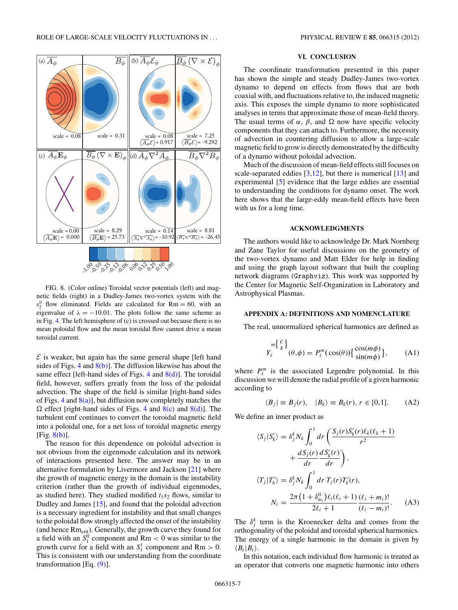<span id="page-6-0"></span>

FIG. 8. (Color online) Toroidal vector potentials (left) and magnetic fields (right) in a Dudley-James two-vortex system with the  $s_2^0$  flow eliminated. Fields are calculated for Rm = 60, with an eigenvalue of  $\lambda = -10.01$ . The plots follow the same scheme as in Fig. [4.](#page-4-0) The left hemisphere of (c) is crossed out because there is no mean poloidal flow and the mean toroidal flow cannot drive a mean toroidal current.

 $\mathcal E$  is weaker, but again has the same general shape [left hand sides of Figs. [4](#page-4-0) and  $8(b)$ ]. The diffusion likewise has about the same effect [left-hand sides of Figs. [4](#page-4-0) and  $8(d)$ ]. The toroidal field, however, suffers greatly from the loss of the poloidal advection. The shape of the field is similar [right-hand sides of Figs. [4](#page-4-0) and  $8(a)$ ], but diffusion now completely matches the  $\Omega$  effect [right-hand sides of Figs. [4](#page-4-0) and 8(c) and 8(d)]. The turbulent emf continues to convert the toroidal magnetic field into a poloidal one, for a net loss of toroidal magnetic energy [Fig. 8(b)].

The reason for this dependence on poloidal advection is not obvious from the eigenmode calculation and its network of interactions presented here. The answer may be in an alternative formulation by Livermore and Jackson [\[21\]](#page-8-0) where the growth of magnetic energy in the domain is the instability criterion (rather than the growth of individual eigenmodes, as studied here). They studied modified  $t_1s_2$  flows, similar to Dudley and James [\[15\]](#page-8-0), and found that the poloidal advection is a necessary ingredient for instability and that small changes to the poloidal flow strongly affected the onset of the instability (and hence  $Rm_{\text{crit}}$ ). Generally, the growth curve they found for a field with an  $S_1^0$  component and Rm  $< 0$  was similar to the growth curve for a field with an  $S_1^1$  component and Rm  $> 0$ . This is consistent with our understanding from the coordinate transformation [Eq. [\(9\)\]](#page-2-0).

#### **VI. CONCLUSION**

The coordinate transformation presented in this paper has shown the simple and steady Dudley-James two-vortex dynamo to depend on effects from flows that are both coaxial with, and fluctuations relative to, the induced magnetic axis. This exposes the simple dynamo to more sophisticated analyses in terms that approximate those of mean-field theory. The usual terms of  $\alpha$ ,  $\beta$ , and  $\Omega$  now have specific velocity components that they can attach to. Furthermore, the necessity of advection in countering diffusion to allow a large-scale magnetic field to grow is directly demonstrated by the difficulty of a dynamo without poloidal advection.

Much of the discussion of mean-field effects still focuses on scale-separated eddies  $[3,12]$ , but there is numerical  $[13]$  and experimental [\[5\]](#page-8-0) evidence that the large eddies are essential to understanding the conditions for dynamo onset. The work here shows that the large-eddy mean-field effects have been with us for a long time.

## **ACKNOWLEDGMENTS**

The authors would like to acknowledge Dr. Mark Nornberg and Zane Taylor for useful discussions on the geometry of the two-vortex dynamo and Matt Elder for help in finding and using the graph layout software that built the coupling network diagrams (Graphviz). This work was supported by the Center for Magnetic Self-Organization in Laboratory and Astrophysical Plasmas.

#### **APPENDIX A: DEFINITIONS AND NOMENCLATURE** Ĵ Ĩ

The real, unnormalized spherical harmonics are defined as

$$
Y_{\ell}^{m\left\{\frac{C}{S}\right\}}(\theta,\phi) = P_{\ell}^{m}(\cos(\theta))\left\{\frac{\cos(m\phi)}{\sin(m\phi)}\right\},\qquad(A1)
$$

where  $P_{\ell}^{m}$  is the associated Legendre polynomial. In this discussion we will denote the radial profile of a given harmonic according to

$$
\langle B_j | \equiv B_j(r), \quad |B_k \rangle \equiv B_k(r), \ r \in [0,1]. \tag{A2}
$$

We define an inner product as

$$
\langle B_j | \equiv B_j(r), \quad |B_k \rangle \equiv B_k(r), \ r \in [0,1]. \tag{A2}
$$
  
\nline an inner product as  
\n
$$
\langle S_j | S'_k \rangle = \delta_j^k N_k \int_0^1 dr \left( \frac{S_j(r) S'_k(r) \ell_k(\ell_k + 1)}{r^2} + \frac{dS_j(r)}{dr} \frac{dS'_k(r)}{dr} \right),
$$
  
\n
$$
\langle T_j | T'_k \rangle = \delta_j^k N_k \int_0^1 dr \ T_j(r) T'_k(r),
$$
  
\n
$$
N_i = \frac{2\pi (1 + \delta_{m_i}^0) \ell_i(\ell_i + 1)}{2\ell_i + 1} \frac{(\ell_i + m_i)!}{(\ell_i - m_i)!}.
$$
 (A3)

The  $\delta_j^k$  term is the Kroenecker delta and comes from the orthogonality of the poloidal and toroidal spherical harmonics. The energy of a single harmonic in the domain is given by  $\langle B_i|B_i\rangle$ .

In this notation, each individual flow harmonic is treated as an operator that converts one magnetic harmonic into others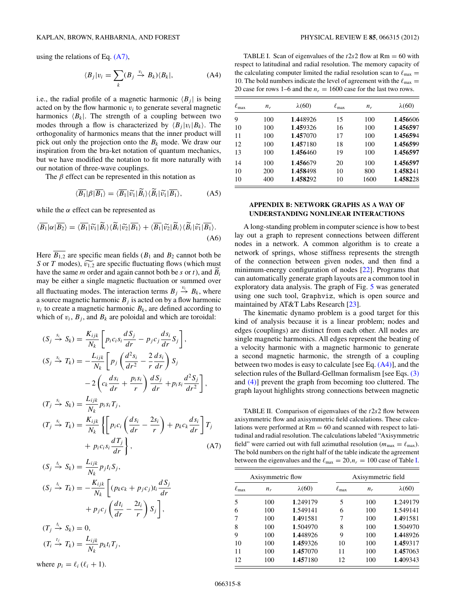<span id="page-7-0"></span>using the relations of Eq.  $(A7)$ ,

$$
\langle B_j | v_i = \sum_k (B_j \stackrel{v_i}{\to} B_k) \langle B_k |, \tag{A4}
$$

i.e., the radial profile of a magnetic harmonic  $\langle B_i |$  is being acted on by the flow harmonic  $v_i$  to generate several magnetic harmonics  $\langle B_k|$ . The strength of a coupling between two modes through a flow is characterized by  $\langle B_i | v_i | B_k \rangle$ . The orthogonality of harmonics means that the inner product will pick out only the projection onto the  $B_k$  mode. We draw our inspiration from the bra-ket notation of quantum mechanics, but we have modified the notation to fit more naturally with our notation of three wave couplings. our notation of three-wave couplings.<br>The *β* effect can be represented in<br> $\langle \overline{B_1} | \beta | \overline{B_1} \rangle = \langle \overline{B_1} | \tilde{v_1} | \tilde{B_i} \rangle$ 

The *β* effect can be represented in this notation as

of three-wave couplings.  
ect can be represented in this notation as  

$$
\langle \overline{B_1} | \beta | \overline{B_1} \rangle = \langle \overline{B_1} | \widetilde{v_1} | \widetilde{B_i} \rangle \langle \widetilde{B_i} | \widetilde{v_1} | \overline{B_1} \rangle,
$$
(A5)

while the  $\alpha$  effect can be represented as

while the 
$$
\alpha
$$
 effect can be represented as  
\n
$$
\langle \overline{B_1} | \alpha | \overline{B_2} \rangle = \langle \overline{B_1} | \tilde{v}_1 | \tilde{B}_i \rangle \langle \tilde{B}_i | \tilde{v}_2 | \overline{B_1} \rangle + \langle \overline{B_1} | \tilde{v}_2 | \tilde{B}_i \rangle \langle \tilde{B}_i | \tilde{v}_1 | \overline{B_1} \rangle.
$$
\n(A6)

Here  $B_{1,2}$  are specific mean fields ( $B_1$  and  $B_2$  cannot both be (A6)<br>*S* or *T* modes),  $\hat{v}_{1,2}$  are specific mean fields ( $B_1$  and  $B_2$  cannot both be *S* or *T* modes),  $\hat{v}_{1,2}$  are specific fluctuating flows (which must have the same *m* order and again cannot both be *s* or *t*), and *B i* may be either a single magnetic fluctuation or summed over all fluctuating modes. The interaction terms  $B_j \stackrel{v_i}{\rightarrow} B_k$ , where a source magnetic harmonic  $B_j$  is acted on by a flow harmonic  $v_i$  to create a magnetic harmonic  $B_k$ , are defined according to which of  $v_i$ ,  $B_j$ , and  $B_k$  are poloidal and which are toroidal:

$$
(S_j \xrightarrow{s_i} S_k) = \frac{K_{ijk}}{N_k} \left[ p_i c_i s_i \frac{dS_j}{dr} - p_j c_j \frac{ds_i}{dr} S_j \right],
$$
  
\n
$$
(S_j \xrightarrow{s_i} T_k) = -\frac{L_{ijk}}{N_k} \left[ p_j \left( \frac{d^2 s_i}{dr^2} - \frac{2}{r} \frac{d s_i}{dr} \right) S_j \right]
$$
  
\n
$$
-2 \left( c_k \frac{ds_i}{dr} + \frac{p_i s_i}{r} \right) \frac{dS_j}{dr} + p_i s_i \frac{d^2 S_j}{dr^2} \right],
$$
  
\n
$$
(T_j \xrightarrow{s_i} S_k) = \frac{L_{ijk}}{N_k} p_i s_i T_j,
$$
  
\n
$$
(T_j \xrightarrow{s_i} T_k) = \frac{K_{ijk}}{N_k} \left\{ \left[ p_i c_i \left( \frac{d s_i}{dr} - \frac{2s_i}{r} \right) + p_k c_k \frac{d s_i}{dr} \right] T_j \right\} + p_i c_i s_i \frac{d T_j}{dr} \right\},
$$
  
\n(A7)

$$
(S_j \xrightarrow{t_i} S_k) = \frac{L_{ijk}}{N_k} p_j t_i S_j,
$$
  
\n
$$
(S_j \xrightarrow{t_i} T_k) = -\frac{K_{ijk}}{N_k} \left[ (p_k c_k + p_j c_j) t_i \frac{dS_j}{dr} + p_j c_j \left( \frac{d t_i}{dr} - \frac{2t_i}{r} \right) S_j \right],
$$
  
\n
$$
(T_j \xrightarrow{t_i} S_k) = 0,
$$

$$
(T_i \stackrel{t_j}{\rightarrow} T_k) = \frac{L_{ijk}}{N_k} p_k t_i T_j,
$$

where  $p_i = \ell_i (\ell_i + 1)$ .

TABLE I. Scan of eigenvalues of the  $t2s2$  flow at  $Rm = 60$  with respect to latitudinal and radial resolution. The memory capacity of the calculating computer limited the radial resolution scan to  $\ell_{\text{max}} =$ 10. The bold numbers indicate the level of agreement with the  $\ell_{\text{max}} =$ 20 case for rows 1–6 and the  $n_r = 1600$  case for the last two rows.

| $\ell_{\rm max}$ | $n_r$ | $\lambda(60)$ | $\ell_{\rm max}$ | $n_r$ | $\lambda(60)$ |
|------------------|-------|---------------|------------------|-------|---------------|
| 9                | 100   | 1.448926      | 15               | 100   | 1.456606      |
| 10               | 100   | 1.459326      | 16               | 100   | 1.456597      |
| 11               | 100   | 1.457070      | 17               | 100   | 1.456594      |
| 12               | 100   | 1.457180      | 18               | 100   | 1.456599      |
| 13               | 100   | 1.456460      | 19               | 100   | 1.456597      |
| 14               | 100   | 1.456679      | 20               | 100   | 1.456597      |
| 10               | 200   | 1.458498      | 10               | 800   | 1.458241      |
| 10               | 400   | 1.458292      | 10               | 1600  | 1.458228      |

#### **APPENDIX B: NETWORK GRAPHS AS A WAY OF UNDERSTANDING NONLINEAR INTERACTIONS**

A long-standing problem in computer science is how to best lay out a graph to represent connections between different nodes in a network. A common algorithm is to create a network of springs, whose stiffness represents the strength of the connection between given nodes, and then find a minimum-energy configuration of nodes [\[22\]](#page-8-0). Programs that can automatically generate graph layouts are a common tool in exploratory data analysis. The graph of Fig. [5](#page-4-0) was generated using one such tool, Graphviz, which is open source and maintained by AT&T Labs Research [\[23\]](#page-8-0).

The kinematic dynamo problem is a good target for this kind of analysis because it is a linear problem; nodes and edges (couplings) are distinct from each other. All nodes are single magnetic harmonics. All edges represent the beating of a velocity harmonic with a magnetic harmonic to generate a second magnetic harmonic, the strength of a coupling between two modes is easy to calculate [see Eq. (A4)], and the selection rules of the Bullard-Gellman formalism [see Eqs. [\(3\)](#page-1-0) and [\(4\)\]](#page-1-0) prevent the graph from becoming too cluttered. The graph layout highlights strong connections between magnetic

TABLE II. Comparison of eigenvalues of the *t*2*s*2 flow between axisymmetric flow and axisymmetric field calculations. These calculations were performed at  $Rm = 60$  and scanned with respect to latitudinal and radial resolution. The calculations labeled "Axisymmetric field" were carried out with full azimuthal resolution ( $m_{\text{max}} = \ell_{\text{max}}$ ). The bold numbers on the right half of the table indicate the agreement between the eigenvalues and the  $\ell_{\text{max}} = 20$ ,  $n_r = 100$  case of Table I.

| Axisymmetric flow |       |               | Axisymmetric field |       |               |
|-------------------|-------|---------------|--------------------|-------|---------------|
| $\ell_{\rm max}$  | $n_r$ | $\lambda(60)$ | $\ell_{\rm max}$   | $n_r$ | $\lambda(60)$ |
| 5                 | 100   | 1.249179      | 5                  | 100   | 1.249179      |
| 6                 | 100   | 1.549141      | 6                  | 100   | 1.549141      |
| 7                 | 100   | 1.491581      | 7                  | 100   | 1.491581      |
| 8                 | 100   | 1.504970      | 8                  | 100   | 1.504970      |
| 9                 | 100   | 1.448926      | 9                  | 100   | 1.448926      |
| 10                | 100   | 1.459326      | 10                 | 100   | 1.459317      |
| 11                | 100   | 1.457070      | 11                 | 100   | 1.457063      |
| 12                | 100   | 1.457180      | 12                 | 100   | 1.409343      |